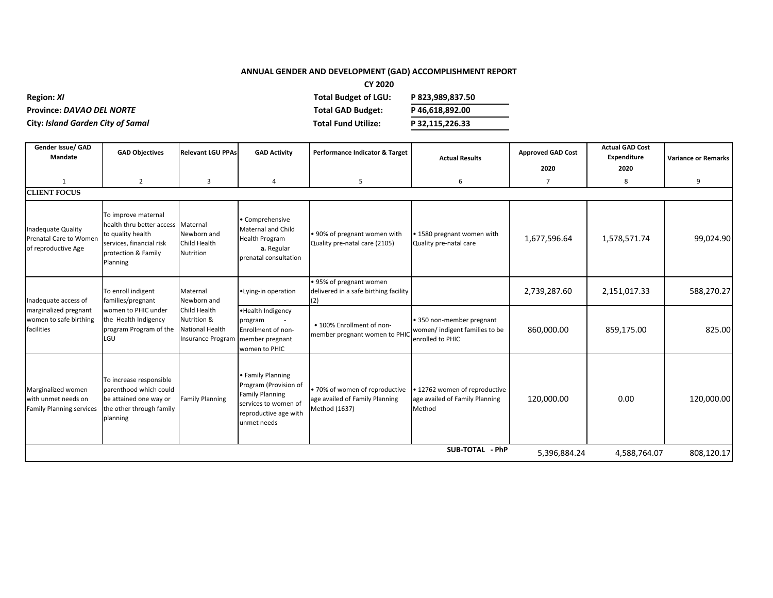## **ANNUAL GENDER AND DEVELOPMENT (GAD) ACCOMPLISHMENT REPORT**

**CY 2020**

| <b>Region: XI</b>                        | Total Budget of LGU:     | P 823,989,837.50 |
|------------------------------------------|--------------------------|------------------|
| <b>Province: DAVAO DEL NORTE</b>         | <b>Total GAD Budget:</b> | P46.618.892.00   |
| <b>City: Island Garden City of Samal</b> | Total Fund Utilize:      | P 32,115,226.33  |

| Gender Issue/ GAD<br>Mandate                                                 | <b>GAD Objectives</b>                                                                                                                | <b>Relevant LGU PPAs</b>                                                   | <b>GAD Activity</b>                                                                                                                       | Performance Indicator & Target                                                    | <b>Actual Results</b>                                                           | <b>Approved GAD Cost</b><br>2020 | <b>Actual GAD Cost</b><br>Expenditure<br>2020 | <b>Variance or Remarks</b> |
|------------------------------------------------------------------------------|--------------------------------------------------------------------------------------------------------------------------------------|----------------------------------------------------------------------------|-------------------------------------------------------------------------------------------------------------------------------------------|-----------------------------------------------------------------------------------|---------------------------------------------------------------------------------|----------------------------------|-----------------------------------------------|----------------------------|
| 1                                                                            | $\overline{2}$                                                                                                                       | 3                                                                          | 4                                                                                                                                         | 5                                                                                 | 6                                                                               | $\overline{7}$                   | 8                                             | 9                          |
| <b>CLIENT FOCUS</b>                                                          |                                                                                                                                      |                                                                            |                                                                                                                                           |                                                                                   |                                                                                 |                                  |                                               |                            |
| <b>Inadequate Quality</b><br>Prenatal Care to Women<br>of reproductive Age   | To improve maternal<br>health thru better access<br>to quality health<br>services, financial risk<br>protection & Family<br>Planning | Maternal<br>Newborn and<br>Child Health<br>Nutrition                       | · Comprehensive<br>Maternal and Child<br><b>Health Program</b><br>a. Regular<br>prenatal consultation                                     | . 90% of pregnant women with<br>Quality pre-natal care (2105)                     | • 1580 pregnant women with<br>Quality pre-natal care                            | 1,677,596.64                     | 1,578,571.74                                  | 99,024.90                  |
| Inadequate access of                                                         | To enroll indigent<br>families/pregnant                                                                                              | Maternal<br>Newborn and                                                    | •Lying-in operation                                                                                                                       | • 95% of pregnant women<br>delivered in a safe birthing facility<br>(2)           |                                                                                 | 2,739,287.60                     | 2,151,017.33                                  | 588,270.27                 |
| marginalized pregnant<br>women to safe birthing<br>facilities                | women to PHIC under<br>the Health Indigency<br>program Program of the<br>LGU                                                         | Child Health<br>Nutrition &<br>National Health<br><b>Insurance Program</b> | • Health Indigency<br>program<br>Enrollment of non-<br>member pregnant<br>women to PHIC                                                   | • 100% Enrollment of non-<br>member pregnant women to PHIC                        | • 350 non-member pregnant<br>women/ indigent families to be<br>enrolled to PHIC | 860,000.00                       | 859,175.00                                    | 825.00                     |
| Marginalized women<br>with unmet needs on<br><b>Family Planning services</b> | To increase responsible<br>parenthood which could<br>be attained one way or<br>the other through family<br>planning                  | <b>Family Planning</b>                                                     | <b>Family Planning</b><br>Program (Provision of<br><b>Family Planning</b><br>services to women of<br>reproductive age with<br>unmet needs | · 70% of women of reproductive<br>age availed of Family Planning<br>Method (1637) | . 12762 women of reproductive<br>age availed of Family Planning<br>Method       | 120,000.00                       | 0.00                                          | 120,000.00                 |
|                                                                              |                                                                                                                                      |                                                                            |                                                                                                                                           |                                                                                   | SUB-TOTAL - PhP                                                                 | 5,396,884.24                     | 4,588,764.07                                  | 808,120.17                 |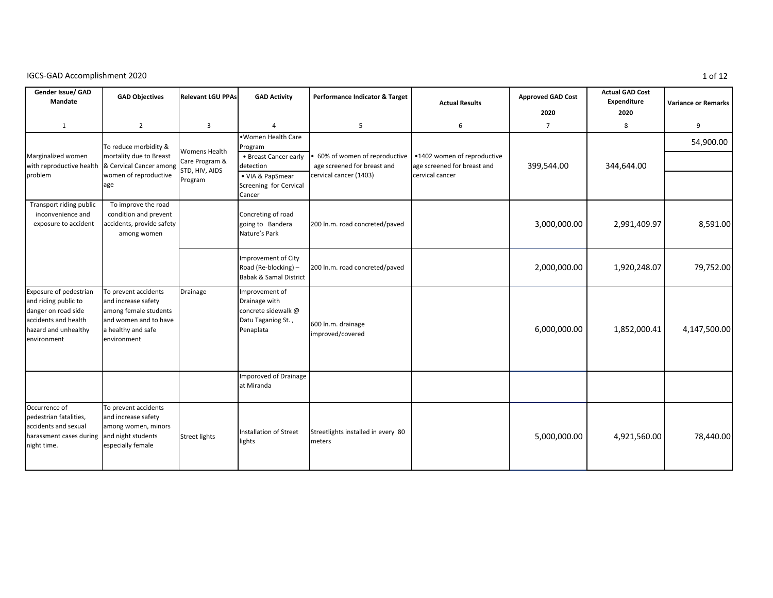| Gender Issue/ GAD<br>Mandate                                                                                                         | <b>GAD Objectives</b>                                                                                                              | <b>Relevant LGU PPAs</b>                                            | <b>GAD Activity</b>                                                                                                         | Performance Indicator & Target                                                                                      | <b>Actual Results</b>                          | <b>Approved GAD Cost</b><br>2020 | <b>Actual GAD Cost</b><br>Expenditure<br>2020 | <b>Variance or Remarks</b> |
|--------------------------------------------------------------------------------------------------------------------------------------|------------------------------------------------------------------------------------------------------------------------------------|---------------------------------------------------------------------|-----------------------------------------------------------------------------------------------------------------------------|---------------------------------------------------------------------------------------------------------------------|------------------------------------------------|----------------------------------|-----------------------------------------------|----------------------------|
| $\mathbf{1}$                                                                                                                         | $\overline{2}$                                                                                                                     | 3                                                                   |                                                                                                                             | 5                                                                                                                   | 6                                              | $\overline{7}$                   | 8                                             | 9                          |
| Marginalized women<br>with reproductive health & Cervical Cancer among<br>problem                                                    | To reduce morbidity &<br>mortality due to Breast<br>women of reproductive<br>age                                                   | <b>Womens Health</b><br>Care Program &<br>STD, HIV, AIDS<br>Program | .Women Health Care<br>Program<br>• Breast Cancer early<br>detection<br>• VIA & PapSmear<br>Screening for Cervical<br>Cancer | 60% of women of reproductive   •1402 women of reproductive<br>age screened for breast and<br>cervical cancer (1403) | age screened for breast and<br>cervical cancer | 399,544.00                       | 344,644.00                                    | 54,900.00                  |
| Transport riding public<br>inconvenience and<br>exposure to accident                                                                 | To improve the road<br>condition and prevent<br>accidents, provide safety<br>among women                                           |                                                                     | Concreting of road<br>going to Bandera<br>Nature's Park                                                                     | 200 ln.m. road concreted/paved                                                                                      |                                                | 3,000,000.00                     | 2,991,409.97                                  | 8,591.00                   |
|                                                                                                                                      |                                                                                                                                    |                                                                     | Improvement of City<br>Road (Re-blocking) -<br><b>Babak &amp; Samal District</b>                                            | 200 ln.m. road concreted/paved                                                                                      |                                                | 2,000,000.00                     | 1,920,248.07                                  | 79,752.00                  |
| Exposure of pedestrian<br>and riding public to<br>danger on road side<br>accidents and health<br>hazard and unhealthy<br>environment | To prevent accidents<br>and increase safety<br>among female students<br>and women and to have<br>a healthy and safe<br>environment | Drainage                                                            | Improvement of<br>Drainage with<br>concrete sidewalk @<br>Datu Taganiog St.,<br>Penaplata                                   | 600 ln.m. drainage<br>improved/covered                                                                              |                                                | 6,000,000.00                     | 1,852,000.41                                  | 4,147,500.00               |
|                                                                                                                                      |                                                                                                                                    |                                                                     | <b>Imporoved of Drainage</b><br>at Miranda                                                                                  |                                                                                                                     |                                                |                                  |                                               |                            |
| Occurrence of<br>pedestrian fatalities,<br>accidents and sexual<br>harassment cases during<br>night time.                            | To prevent accidents<br>and increase safety<br>among women, minors<br>and night students<br>especially female                      | <b>Street lights</b>                                                | <b>Installation of Street</b><br>lights                                                                                     | Streetlights installed in every 80<br>meters                                                                        |                                                | 5,000,000.00                     | 4,921,560.00                                  | 78,440.00                  |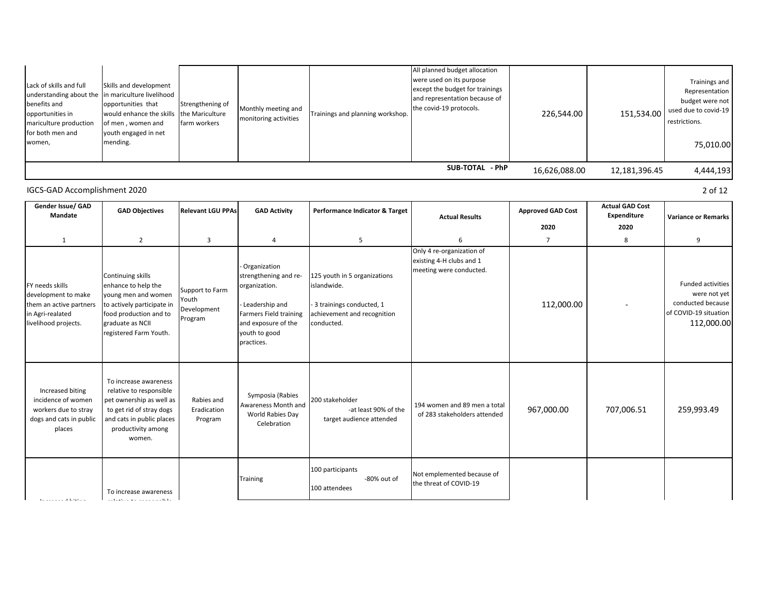| women, | Lack of skills and full<br>benefits and<br>opportunities in<br>mariculture production<br>for both men and | Skills and development<br>understanding about the in mariculture livelihood<br>opportunities that<br>would enhance the skills the Mariculture<br>of men, women and<br>youth engaged in net<br>mending. | Strengthening of<br>farm workers | Monthly meeting and<br>monitoring activities | Trainings and planning workshop. | All planned budget allocation<br>were used on its purpose<br>except the budget for trainings<br>and representation because of<br>the covid-19 protocols. | 226,544.00    | 151,534.00    | Trainings and<br>Representation<br>budget were not<br>used due to covid-19<br>restrictions.<br>75,010.00 |
|--------|-----------------------------------------------------------------------------------------------------------|--------------------------------------------------------------------------------------------------------------------------------------------------------------------------------------------------------|----------------------------------|----------------------------------------------|----------------------------------|----------------------------------------------------------------------------------------------------------------------------------------------------------|---------------|---------------|----------------------------------------------------------------------------------------------------------|
|        |                                                                                                           |                                                                                                                                                                                                        |                                  |                                              |                                  | SUB-TOTAL - PhP                                                                                                                                          | 16,626,088.00 | 12,181,396.45 | 4,444,193                                                                                                |

relative to responsible Increased biting

| Gender Issue/ GAD<br>Mandate                                                                                  | <b>GAD Objectives</b>                                                                                                                                                 | <b>Relevant LGU PPAs</b>                           | <b>GAD Activity</b>                                                                                                                                          | Performance Indicator & Target                                                                                         | <b>Actual Results</b>                                                            | <b>Approved GAD Cost</b><br>2020 | <b>Actual GAD Cost</b><br>Expenditure<br>2020 | <b>Variance or Remarks</b>                                                                           |
|---------------------------------------------------------------------------------------------------------------|-----------------------------------------------------------------------------------------------------------------------------------------------------------------------|----------------------------------------------------|--------------------------------------------------------------------------------------------------------------------------------------------------------------|------------------------------------------------------------------------------------------------------------------------|----------------------------------------------------------------------------------|----------------------------------|-----------------------------------------------|------------------------------------------------------------------------------------------------------|
| 1                                                                                                             | $\overline{2}$                                                                                                                                                        | 3                                                  | $\overline{4}$                                                                                                                                               | 5                                                                                                                      |                                                                                  | $\overline{7}$                   | 8                                             | 9                                                                                                    |
| FY needs skills<br>development to make<br>them an active partners<br>in Agri-realated<br>livelihood projects. | Continuing skills<br>enhance to help the<br>young men and women<br>to actively participate in<br>food production and to<br>graduate as NCII<br>registered Farm Youth. | Support to Farm<br>Youth<br>Development<br>Program | - Organization<br>strengthening and re-<br>organization.<br>- Leadership and<br>Farmers Field training<br>and exposure of the<br>youth to good<br>practices. | 125 youth in 5 organizations<br>islandwide.<br>- 3 trainings conducted, 1<br>achievement and recognition<br>conducted. | Only 4 re-organization of<br>existing 4-H clubs and 1<br>meeting were conducted. | 112,000.00                       |                                               | <b>Funded activities</b><br>were not yet<br>conducted because<br>of COVID-19 situation<br>112,000.00 |
| Increased biting<br>incidence of women<br>workers due to stray<br>dogs and cats in public<br>places           | To increase awareness<br>relative to responsible<br>pet ownership as well as<br>to get rid of stray dogs<br>and cats in public places<br>productivity among<br>women. | Rabies and<br>Eradication<br>Program               | Symposia (Rabies<br>Awareness Month and<br>World Rabies Day<br>Celebration                                                                                   | 200 stakeholder<br>-at least 90% of the<br>target audience attended                                                    | 194 women and 89 men a total<br>of 283 stakeholders attended                     | 967,000.00                       | 707,006.51                                    | 259,993.49                                                                                           |
| the proposal of the General                                                                                   | To increase awareness<br>$\alpha$ is the action of the second condition of the first                                                                                  |                                                    | Training                                                                                                                                                     | 100 participants<br>-80% out of<br>100 attendees                                                                       | Not emplemented because of<br>the threat of COVID-19                             |                                  |                                               |                                                                                                      |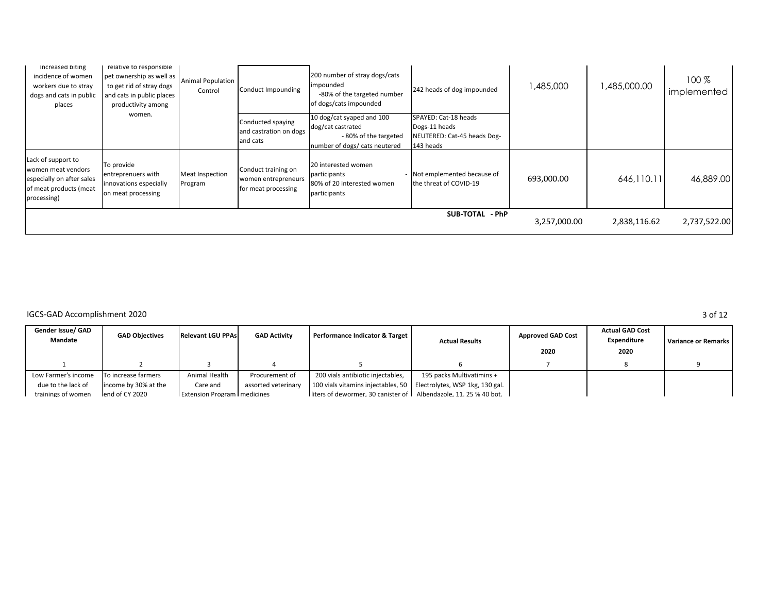| Increased biting<br>incidence of women<br>workers due to stray<br>dogs and cats in public<br>places            | relative to responsible<br>pet ownership as well as<br>to get rid of stray dogs<br>and cats in public places<br>productivity among | <b>Animal Population</b><br>Control | Conduct Impounding                                                | 200 number of stray dogs/cats<br>impounded<br>-80% of the targeted number<br>of dogs/cats impounded     | 242 heads of dog impounded                                                        | .485,000     | 1,485,000.00 | $100\%$<br>implemented |
|----------------------------------------------------------------------------------------------------------------|------------------------------------------------------------------------------------------------------------------------------------|-------------------------------------|-------------------------------------------------------------------|---------------------------------------------------------------------------------------------------------|-----------------------------------------------------------------------------------|--------------|--------------|------------------------|
|                                                                                                                | women.                                                                                                                             |                                     | Conducted spaying<br>and castration on dogs<br>and cats           | 10 dog/cat syaped and 100<br>dog/cat castrated<br>-80% of the targeted<br>number of dogs/ cats neutered | SPAYED: Cat-18 heads<br>Dogs-11 heads<br>NEUTERED: Cat-45 heads Dog-<br>143 heads |              |              |                        |
| Lack of support to<br>women meat vendors<br>especially on after sales<br>of meat products (meat<br>processing) | To provide<br>entreprenuers with<br>innovations especially<br>on meat processing                                                   | Meat Inspection<br>Program          | Conduct training on<br>women entrepreneurs<br>for meat processing | 20 interested women<br>participants<br>80% of 20 interested women<br>participants                       | - Not emplemented because of<br>the threat of COVID-19                            | 693,000.00   | 646,110.11   | 46,889,00              |
|                                                                                                                |                                                                                                                                    |                                     |                                                                   |                                                                                                         | SUB-TOTAL - PhP                                                                   | 3,257,000.00 | 2,838,116.62 | 2,737,522.00           |

| Gender Issue/ GAD<br>Mandate | <b>GAD Objectives</b> | <b>Relevant LGU PPAs</b>             | <b>GAD Activity</b> | Performance Indicator & Target                                       | <b>Actual Results</b>     | <b>Approved GAD Cost</b><br>2020 | <b>Actual GAD Cost</b><br>Expenditure<br>2020 | <b>Variance or Remarks</b> |
|------------------------------|-----------------------|--------------------------------------|---------------------|----------------------------------------------------------------------|---------------------------|----------------------------------|-----------------------------------------------|----------------------------|
|                              |                       |                                      |                     |                                                                      |                           |                                  |                                               |                            |
| Low Farmer's income          | To increase farmers   | Animal Health                        | Procurement of      | 200 vials antibiotic injectables,                                    | 195 packs Multivatimins + |                                  |                                               |                            |
| due to the lack of           | income by 30% at the  | Care and                             | assorted veterinary | 100 vials vitamins injectables, 50   Electrolytes, WSP 1kg, 130 gal. |                           |                                  |                                               |                            |
| trainings of women           | end of CY 2020        | <b>Extension Program I medicines</b> |                     | liters of dewormer. 30 canister of Albendazole, 11, 25 % 40 bot.     |                           |                                  |                                               |                            |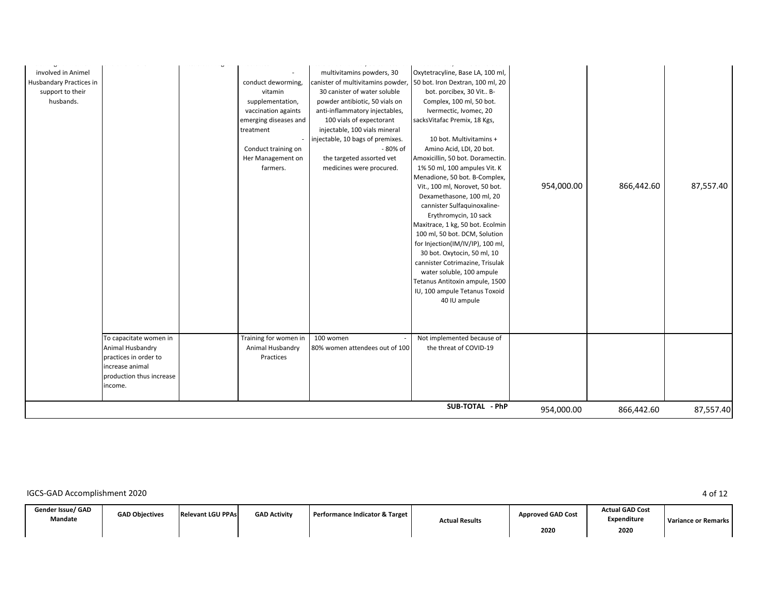|                          | Conduct training on   | injectable, 10 bags of premixes.<br>- 80% of | 10 bot. Multivitamins +<br>Amino Acid, LDI, 20 bot. |            |            |           |
|--------------------------|-----------------------|----------------------------------------------|-----------------------------------------------------|------------|------------|-----------|
|                          |                       |                                              |                                                     |            |            |           |
|                          | Her Management on     | the targeted assorted vet                    | Amoxicillin, 50 bot. Doramectin.                    |            |            |           |
|                          | farmers.              | medicines were procured.                     | 1% 50 ml, 100 ampules Vit. K                        |            |            |           |
|                          |                       |                                              | Menadione, 50 bot. B-Complex,                       |            |            |           |
|                          |                       |                                              | Vit., 100 ml, Norovet, 50 bot.                      | 954,000.00 | 866,442.60 | 87,557.40 |
|                          |                       |                                              | Dexamethasone, 100 ml, 20                           |            |            |           |
|                          |                       |                                              | cannister Sulfaquinoxaline-                         |            |            |           |
|                          |                       |                                              | Erythromycin, 10 sack                               |            |            |           |
|                          |                       |                                              | Maxitrace, 1 kg, 50 bot. Ecolmin                    |            |            |           |
|                          |                       |                                              | 100 ml, 50 bot. DCM, Solution                       |            |            |           |
|                          |                       |                                              | for Injection(IM/IV/IP), 100 ml,                    |            |            |           |
|                          |                       |                                              | 30 bot. Oxytocin, 50 ml, 10                         |            |            |           |
|                          |                       |                                              | cannister Cotrimazine, Trisulak                     |            |            |           |
|                          |                       |                                              | water soluble, 100 ampule                           |            |            |           |
|                          |                       |                                              | Tetanus Antitoxin ampule, 1500                      |            |            |           |
|                          |                       |                                              | IU, 100 ampule Tetanus Toxoid                       |            |            |           |
|                          |                       |                                              | 40 IU ampule                                        |            |            |           |
|                          |                       |                                              |                                                     |            |            |           |
|                          |                       |                                              |                                                     |            |            |           |
| To capacitate women in   | Training for women in | 100 women                                    | Not implemented because of                          |            |            |           |
| Animal Husbandry         | Animal Husbandry      | 80% women attendees out of 100               | the threat of COVID-19                              |            |            |           |
| practices in order to    | Practices             |                                              |                                                     |            |            |           |
| increase animal          |                       |                                              |                                                     |            |            |           |
| production thus increase |                       |                                              |                                                     |            |            |           |
| ncome.                   |                       |                                              |                                                     |            |            |           |
|                          |                       |                                              |                                                     |            |            |           |
|                          |                       |                                              | SUB-TOTAL - PhP                                     | 954,000.00 | 866,442.60 | 87,557.40 |

| Gender Issue/ GAD<br>Mandate | <b>GAD Obiectives</b> | <b>Relevant LGU PPAs</b> | <b>GAD Activity</b> | Performance Indicator & Target | <b>Actual Results</b> | <b>Approved GAD Cost</b> | <b>Actual GAD Cost</b><br>Expenditure | Variance or Remarks I |
|------------------------------|-----------------------|--------------------------|---------------------|--------------------------------|-----------------------|--------------------------|---------------------------------------|-----------------------|
|                              |                       |                          |                     |                                |                       | 2020                     | 2020                                  |                       |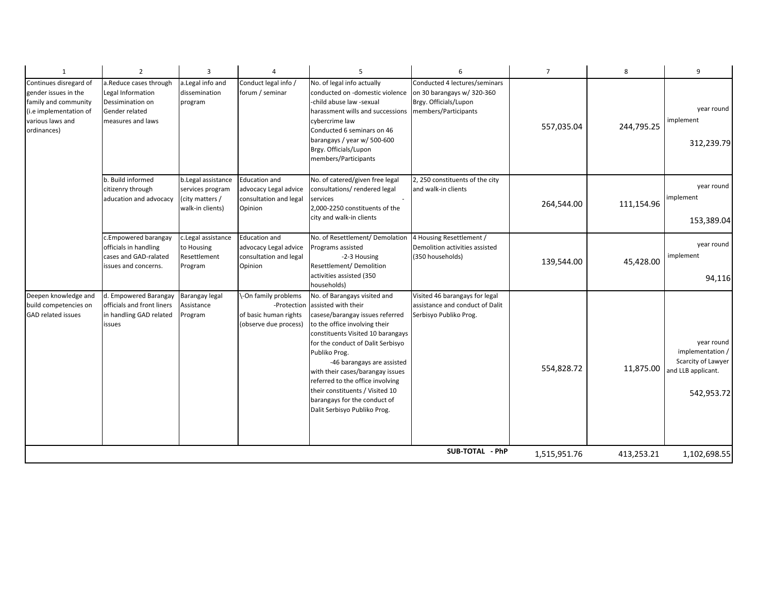| $\mathbf{1}$                                                                                                                        | $\overline{2}$                                                                                         | 3                                                                             | $\overline{4}$                                                                        | 5                                                                                                                                                                                                                                                                                                                                                                                                                           | 6                                                                                           | $\overline{7}$ | 8          | 9                                                                                        |
|-------------------------------------------------------------------------------------------------------------------------------------|--------------------------------------------------------------------------------------------------------|-------------------------------------------------------------------------------|---------------------------------------------------------------------------------------|-----------------------------------------------------------------------------------------------------------------------------------------------------------------------------------------------------------------------------------------------------------------------------------------------------------------------------------------------------------------------------------------------------------------------------|---------------------------------------------------------------------------------------------|----------------|------------|------------------------------------------------------------------------------------------|
| Continues disregard of<br>gender issues in the<br>family and community<br>(i.e implementation of<br>various laws and<br>ordinances) | a.Reduce cases through<br>Legal Information<br>Dessimination on<br>Gender related<br>measures and laws | a.Legal info and<br>dissemination<br>program                                  | Conduct legal info /<br>forum / seminar                                               | No. of legal info actually<br>conducted on -domestic violence<br>child abuse law -sexual<br>harassment wills and successions members/Participants<br>cybercrime law<br>Conducted 6 seminars on 46<br>barangays / year w/ 500-600<br>Brgy. Officials/Lupon<br>members/Participants                                                                                                                                           | Conducted 4 lectures/seminars<br>on 30 barangays w/ 320-360<br>Brgy. Officials/Lupon        | 557,035.04     | 244,795.25 | year round<br>implement<br>312,239.79                                                    |
|                                                                                                                                     | b. Build informed<br>citizenry through<br>aducation and advocacy                                       | b.Legal assistance<br>services program<br>(city matters /<br>walk-in clients) | <b>Education and</b><br>advocacy Legal advice<br>consultation and legal<br>Opinion    | No. of catered/given free legal<br>consultations/rendered legal<br>services<br>2,000-2250 constituents of the<br>city and walk-in clients                                                                                                                                                                                                                                                                                   | 2, 250 constituents of the city<br>and walk-in clients                                      | 264,544.00     | 111,154.96 | year round<br>implement<br>153,389.04                                                    |
|                                                                                                                                     | c.Empowered barangay<br>officials in handling<br>cases and GAD-ralated<br>issues and concerns.         | c.Legal assistance<br>to Housing<br>Resettlement<br>Program                   | <b>Education and</b><br>advocacy Legal advice<br>consultation and legal<br>Opinion    | No. of Resettlement/ Demolation<br>Programs assisted<br>-2-3 Housing<br>Resettlement/ Demolition<br>activities assisted (350<br>าouseholds)                                                                                                                                                                                                                                                                                 | 4 Housing Resettlement /<br>Demolition activities assisted<br>(350 households)              | 139,544.00     | 45,428.00  | year round<br>implement<br>94,116                                                        |
| Deepen knowledge and<br>build competencies on<br><b>GAD related issues</b>                                                          | d. Empowered Barangay<br>officials and front liners<br>in handling GAD related<br>issues               | Barangay legal<br>Assistance<br>Program                                       | \-On family problems<br>-Protection<br>of basic human rights<br>(observe due process) | No. of Barangays visited and<br>assisted with their<br>casese/barangay issues referred<br>to the office involving their<br>constituents Visited 10 barangays<br>for the conduct of Dalit Serbisyo<br>Publiko Prog.<br>-46 barangays are assisted<br>with their cases/barangay issues<br>referred to the office involving<br>their constituents / Visited 10<br>barangays for the conduct of<br>Dalit Serbisyo Publiko Prog. | Visited 46 barangays for legal<br>assistance and conduct of Dalit<br>Serbisyo Publiko Prog. | 554,828.72     | 11,875.00  | year round<br>implementation /<br>Scarcity of Lawyer<br>and LLB applicant.<br>542,953.72 |
|                                                                                                                                     |                                                                                                        |                                                                               |                                                                                       |                                                                                                                                                                                                                                                                                                                                                                                                                             | SUB-TOTAL - PhP                                                                             | 1,515,951.76   | 413,253.21 | 1,102,698.55                                                                             |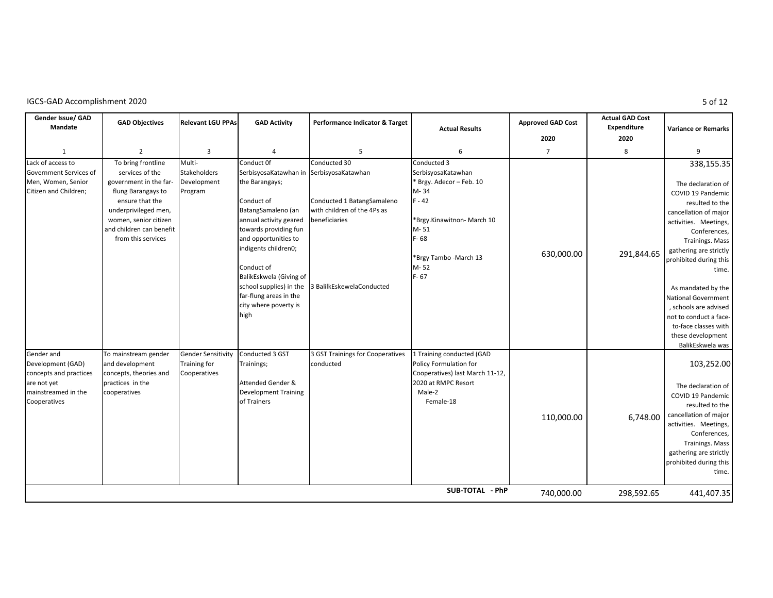|  | IGCS-GAD Accomplishment 2020 |  |
|--|------------------------------|--|
|--|------------------------------|--|

| Gender Issue/ GAD<br>Mandate<br>$\mathbf{1}$<br>Lack of access to<br>Government Services of<br>Men, Women, Senior<br>Citizen and Children; | <b>GAD Objectives</b><br>$\overline{2}$<br>To bring frontline<br>services of the<br>government in the far-<br>flung Barangays to<br>ensure that the<br>underprivileged men, | <b>Relevant LGU PPAs</b><br>3<br>Multi-<br><b>Stakeholders</b><br>Development<br>Program | <b>GAD Activity</b><br>$\overline{4}$<br>Conduct Of<br>SerbisyosaKatawhan in SerbisyosaKatawhan<br>the Barangays;<br>Conduct of<br>BatangSamaleno (an                                                                          | Performance Indicator & Target<br>5<br>Conducted 30<br>Conducted 1 BatangSamaleno<br>with children of the 4Ps as | <b>Actual Results</b><br>6<br>Conducted 3<br>SerbisyosaKatawhan<br>* Brgy. Adecor - Feb. 10<br>M-34<br>$F - 42$                      | <b>Approved GAD Cost</b><br>2020<br>$\overline{7}$ | <b>Actual GAD Cost</b><br>Expenditure<br>2020<br>8 | <b>Variance or Remarks</b><br>9<br>338,155.35<br>The declaration of<br>COVID 19 Pandemic<br>resulted to the<br>cancellation of major                                                                                                                                                                 |
|--------------------------------------------------------------------------------------------------------------------------------------------|-----------------------------------------------------------------------------------------------------------------------------------------------------------------------------|------------------------------------------------------------------------------------------|--------------------------------------------------------------------------------------------------------------------------------------------------------------------------------------------------------------------------------|------------------------------------------------------------------------------------------------------------------|--------------------------------------------------------------------------------------------------------------------------------------|----------------------------------------------------|----------------------------------------------------|------------------------------------------------------------------------------------------------------------------------------------------------------------------------------------------------------------------------------------------------------------------------------------------------------|
|                                                                                                                                            | women, senior citizen<br>and children can benefit<br>from this services                                                                                                     |                                                                                          | annual activity geared<br>towards providing fun<br>and opportunities to<br>indigents children0;<br>Conduct of<br>BalikEskwela (Giving of<br>school supplies) in the<br>far-flung areas in the<br>city where poverty is<br>high | beneficiaries<br>3 BalilkEskewelaConducted                                                                       | *Brgy.Kinawitnon-March 10<br>$M - 51$<br>$F - 68$<br>*Brgy Tambo - March 13<br>M-52<br>$F - 67$                                      | 630,000.00                                         | 291,844.65                                         | activities. Meetings,<br>Conferences,<br><b>Trainings. Mass</b><br>gathering are strictly<br>prohibited during this<br>time.<br>As mandated by the<br><b>National Government</b><br>, schools are advised<br>not to conduct a face-<br>to-face classes with<br>these development<br>BalikEskwela was |
| Gender and<br>Development (GAD)<br>concepts and practices<br>are not yet<br>mainstreamed in the<br>Cooperatives                            | To mainstream gender<br>and development<br>concepts, theories and<br>practices in the<br>cooperatives                                                                       | <b>Gender Sensitivity</b><br><b>Training for</b><br>Cooperatives                         | Conducted 3 GST<br>Trainings;<br><b>Attended Gender &amp;</b><br><b>Development Training</b><br>of Trainers                                                                                                                    | 3 GST Trainings for Cooperatives<br>conducted                                                                    | 1 Training conducted (GAD<br>Policy Formulation for<br>Cooperatives) last March 11-12,<br>2020 at RMPC Resort<br>Male-2<br>Female-18 | 110,000.00                                         | 6.748.00                                           | 103,252.00<br>The declaration of<br>COVID 19 Pandemic<br>resulted to the<br>cancellation of major<br>activities. Meetings,<br>Conferences,<br><b>Trainings. Mass</b><br>gathering are strictly<br>prohibited during this<br>time.                                                                    |
|                                                                                                                                            |                                                                                                                                                                             |                                                                                          |                                                                                                                                                                                                                                |                                                                                                                  | SUB-TOTAL - PhP                                                                                                                      | 740,000.00                                         | 298,592.65                                         | 441,407.35                                                                                                                                                                                                                                                                                           |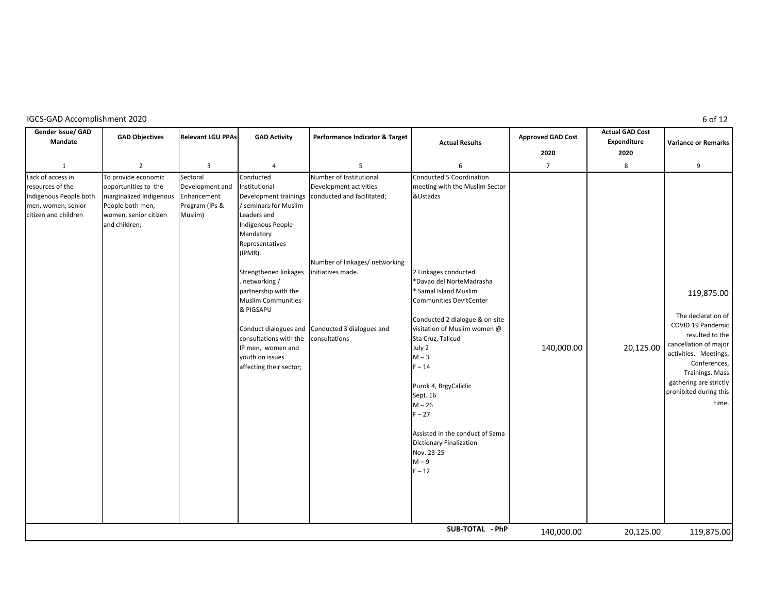|  | IGCS-GAD Accomplishment 2020 |  |
|--|------------------------------|--|
|--|------------------------------|--|

**Gender Issue/ GAD Mandate GAD Objectives Relevant LGU PPAs GAD Activity Performance Indicator & Target Approved GAD Cost Actual GAD Cost Expenditure 2020 2020** 1 2 3 4 5 6 7 8 9 Lack of access in resources of the Indigenous People both men, women, senior citizen and children To provide economic opportunities to the marginalized Indigenous People both men, women, senior citizen and children; Sectoral Development and Enhancement Program (IPs & Muslim) Conducted nstitutional Development trainings / seminars for Muslim Leaders and Indigenous People Mandatory Representatives (IPMR). Strengthened linkages . networking / partnership with the Muslim Communities & PIGSAPU Conduct dialogues and Conducted 3 dialogues and consultations with the IP men, women and youth on issues affecting their sector; Number of Institutional Development activities conducted and facilitated; Number of linkages/ networking initiatives made. consultaƟons Conducted 5 Coordination meeting with the Muslim Sector &Ustadzs 2 Linkages conducted \*Davao del NorteMadrasha \* Samal Island Muslim Communities Dev'tCenter Conducted 2 dialogue & on-site visitation of Muslim women @ Sta Cruz, Talicud July 2  $M - 3$  $F - 14$ Purok 4, BrgyCaliclic Sept. 16  $M - 26$  $F - 27$ Assisted in the conduct of Sama Dictionary Finalization Nov. 23-25  $M - 9$  $F - 12$  140,000.00 20,125.00 119,875.00 The declaration of COVID 19 Pandemic resulted to the cancellation of major activities. Meetings, Conferences, Trainings. Mass gathering are strictly prohibited during this time. 140,000.00 20,125.00 119,875.00 **SUB-TOTAL - PhP Actual Results Variance or Remarks**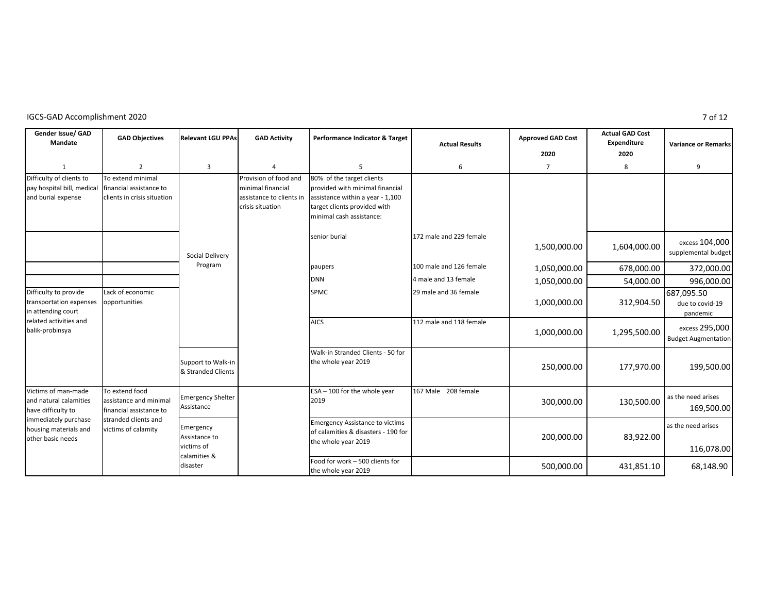| Gender Issue/ GAD<br>Mandate                                                 | <b>GAD Objectives</b>                                                       | <b>Relevant LGU PPAs</b>                                 | <b>GAD Activity</b>                                                                        | Performance Indicator & Target                                                                                                                               | <b>Actual Results</b>   | <b>Approved GAD Cost</b><br>2020 | <b>Actual GAD Cost</b><br>Expenditure<br>2020 | <b>Variance or Remarks</b>                   |
|------------------------------------------------------------------------------|-----------------------------------------------------------------------------|----------------------------------------------------------|--------------------------------------------------------------------------------------------|--------------------------------------------------------------------------------------------------------------------------------------------------------------|-------------------------|----------------------------------|-----------------------------------------------|----------------------------------------------|
| $\mathbf{1}$                                                                 | $\overline{2}$                                                              | 3                                                        | $\overline{4}$                                                                             | 5                                                                                                                                                            | 6                       | $\overline{7}$                   | 8                                             | 9                                            |
| Difficulty of clients to<br>pay hospital bill, medical<br>and burial expense | To extend minimal<br>financial assistance to<br>clients in crisis situation |                                                          | Provision of food and<br>minimal financial<br>assistance to clients in<br>crisis situation | 80% of the target clients<br>provided with minimal financial<br>assistance within a year - 1,100<br>target clients provided with<br>minimal cash assistance: |                         |                                  |                                               |                                              |
|                                                                              |                                                                             | Social Delivery                                          |                                                                                            | senior burial                                                                                                                                                | 172 male and 229 female | 1,500,000.00                     | 1,604,000.00                                  | excess 104,000<br>supplemental budget        |
|                                                                              |                                                                             | Program                                                  |                                                                                            | paupers                                                                                                                                                      | 100 male and 126 female | 1,050,000.00                     | 678,000.00                                    | 372,000.00                                   |
|                                                                              |                                                                             |                                                          |                                                                                            | <b>DNN</b>                                                                                                                                                   | 4 male and 13 female    | 1,050,000.00                     | 54,000.00                                     | 996,000.00                                   |
| Difficulty to provide<br>transportation expenses<br>in attending court       | Lack of economic<br>opportunities                                           |                                                          |                                                                                            | <b>SPMC</b>                                                                                                                                                  | 29 male and 36 female   | 1,000,000.00                     | 312,904.50                                    | 687,095.50<br>due to covid-19<br>pandemic    |
| related activities and<br>balik-probinsya                                    |                                                                             |                                                          |                                                                                            | <b>AICS</b>                                                                                                                                                  | 112 male and 118 female | 1,000,000.00                     | 1,295,500.00                                  | excess 295,000<br><b>Budget Augmentation</b> |
|                                                                              | Support to Walk-in<br>& Stranded Clients                                    |                                                          | Walk-in Stranded Clients - 50 for<br>the whole year 2019                                   |                                                                                                                                                              | 250,000.00              | 177,970.00                       | 199,500.00                                    |                                              |
| Victims of man-made<br>and natural calamities<br>have difficulty to          | To extend food<br>assistance and minimal<br>financial assistance to         | <b>Emergency Shelter</b><br>Assistance                   |                                                                                            | ESA - 100 for the whole year<br>2019                                                                                                                         | 167 Male 208 female     | 300,000.00                       | 130,500.00                                    | as the need arises<br>169,500.00             |
| immediately purchase<br>housing materials and<br>other basic needs           | stranded clients and<br>victims of calamity                                 | Emergency<br>Assistance to<br>victims of<br>calamities & |                                                                                            | <b>Emergency Assistance to victims</b><br>of calamities & disasters - 190 for<br>the whole year 2019                                                         |                         | 200,000.00                       | 83,922.00                                     | as the need arises<br>116,078.00             |
|                                                                              |                                                                             | disaster                                                 |                                                                                            | Food for work - 500 clients for<br>the whole year 2019                                                                                                       |                         | 500,000.00                       | 431,851.10                                    | 68,148.90                                    |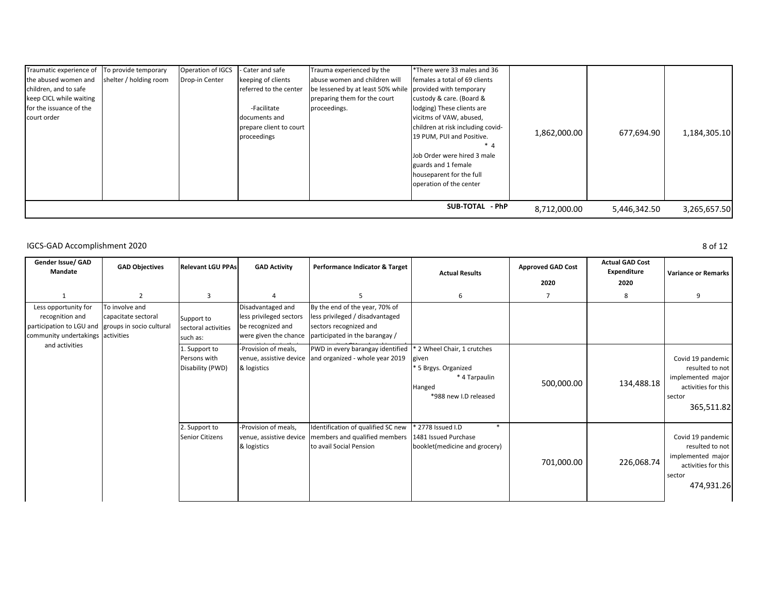| Traumatic experience of | To provide temporary   | <b>Operation of IGCS</b> | - Cater and safe        | Trauma experienced by the                                 | *There were 33 males and 36       |              |              |              |
|-------------------------|------------------------|--------------------------|-------------------------|-----------------------------------------------------------|-----------------------------------|--------------|--------------|--------------|
| the abused women and    | shelter / holding room | Drop-in Center           | keeping of clients      | abuse women and children will                             | females a total of 69 clients     |              |              |              |
| children, and to safe   |                        |                          | referred to the center  | be lessened by at least 50% while provided with temporary |                                   |              |              |              |
| keep CICL while waiting |                        |                          |                         | preparing them for the court                              | custody & care. (Board &          |              |              |              |
| for the issuance of the |                        |                          | -Facilitate             | proceedings.                                              | lodging) These clients are        |              |              |              |
| court order             |                        |                          | documents and           |                                                           | vicitms of VAW, abused,           |              |              |              |
|                         |                        |                          | prepare client to court |                                                           | children at risk including covid- |              |              |              |
|                         |                        |                          | proceedings             |                                                           | 19 PUM, PUI and Positive.         | 1,862,000.00 | 677,694.90   | 1,184,305.10 |
|                         |                        |                          |                         |                                                           | * 4                               |              |              |              |
|                         |                        |                          |                         |                                                           | Job Order were hired 3 male       |              |              |              |
|                         |                        |                          |                         |                                                           | guards and 1 female               |              |              |              |
|                         |                        |                          |                         |                                                           | houseparent for the full          |              |              |              |
|                         |                        |                          |                         |                                                           | operation of the center           |              |              |              |
|                         |                        |                          |                         |                                                           |                                   |              |              |              |
|                         |                        |                          |                         |                                                           | SUB-TOTAL - PhP                   | 8,712,000.00 | 5,446,342.50 | 3,265,657.50 |

| Gender Issue/ GAD<br>Mandate                                                                                                                                                           | <b>GAD Objectives</b>             | <b>Relevant LGU PPAs</b>                                                                   | <b>GAD Activity</b>                                                                                                           | Performance Indicator & Target                                                              | <b>Actual Results</b>                                                                                            | <b>Approved GAD Cost</b><br>2020 | <b>Actual GAD Cost</b><br>Expenditure<br>2020                                                            | <b>Variance or Remarks</b>                                                                               |
|----------------------------------------------------------------------------------------------------------------------------------------------------------------------------------------|-----------------------------------|--------------------------------------------------------------------------------------------|-------------------------------------------------------------------------------------------------------------------------------|---------------------------------------------------------------------------------------------|------------------------------------------------------------------------------------------------------------------|----------------------------------|----------------------------------------------------------------------------------------------------------|----------------------------------------------------------------------------------------------------------|
|                                                                                                                                                                                        | 2                                 | 3                                                                                          | $\Lambda$                                                                                                                     |                                                                                             | 6                                                                                                                | 7                                | 8                                                                                                        | 9                                                                                                        |
| Less opportunity for<br>To involve and<br>recognition and<br>capacitate sectoral<br>participation to LGU and groups in socio cultural<br>community undertakings activities<br>such as: | Support to<br>sectoral activities | Disadvantaged and<br>less privileged sectors<br>be recognized and<br>were given the chance | By the end of the year, 70% of<br>less privileged / disadvantaged<br>sectors recognized and<br>participated in the barangay / |                                                                                             |                                                                                                                  |                                  |                                                                                                          |                                                                                                          |
| and activities                                                                                                                                                                         |                                   | 1. Support to<br>Persons with<br>Disability (PWD)                                          | -Provision of meals,<br>& logistics                                                                                           | PWD in every barangay identified<br>venue, assistive device and organized - whole year 2019 | * 2 Wheel Chair, 1 crutches<br>given<br>* 5 Brgys. Organized<br>* 4 Tarpaulin<br>Hanged<br>*988 new I.D released | 500,000.00                       | 134,488.18                                                                                               | Covid 19 pandemic<br>resulted to not<br>implemented major<br>activities for this<br>sector<br>365,511.82 |
| <b>Senior Citizens</b>                                                                                                                                                                 | 2. Support to                     | Provision of meals,<br>venue, assistive device<br>& logistics                              | Identification of qualified SC new<br>members and qualified members<br>to avail Social Pension                                | $*$<br>* 2778 Issued I.D<br>1481 Issued Purchase<br>booklet(medicine and grocery)           | 701,000.00                                                                                                       | 226,068.74                       | Covid 19 pandemic<br>resulted to not<br>implemented major<br>activities for this<br>sector<br>474,931.26 |                                                                                                          |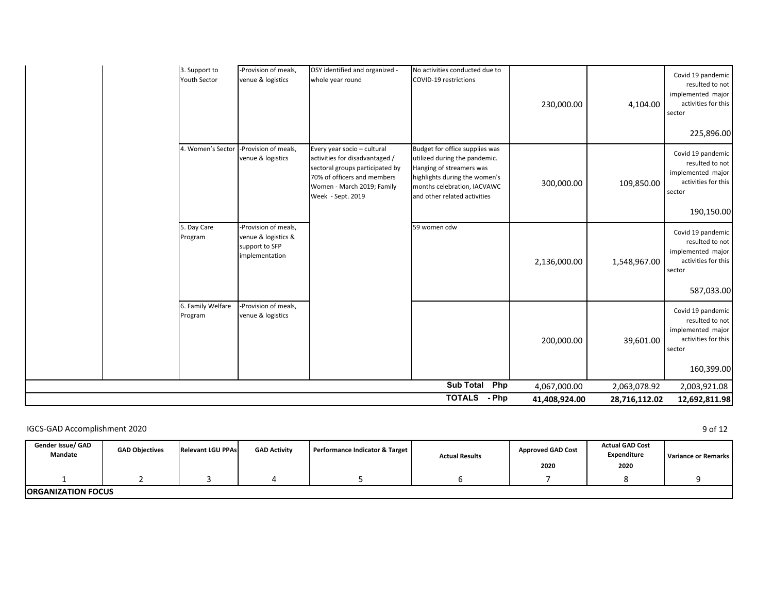|                                      |                                                                                 |                                                                                                                                                                                    | Php<br><b>TOTALS</b><br>- Php                                                                                                                                                               | 4,067,000.00<br>41,408,924.00 | 2,063,078.92<br>28,716,112.02 | 2,003,921.08<br>12,692,811.98                                                                            |
|--------------------------------------|---------------------------------------------------------------------------------|------------------------------------------------------------------------------------------------------------------------------------------------------------------------------------|---------------------------------------------------------------------------------------------------------------------------------------------------------------------------------------------|-------------------------------|-------------------------------|----------------------------------------------------------------------------------------------------------|
|                                      |                                                                                 |                                                                                                                                                                                    | <b>Sub Total</b>                                                                                                                                                                            |                               |                               | 160,399.00                                                                                               |
| 6. Family Welfare<br>Program         | -Provision of meals,<br>venue & logistics                                       |                                                                                                                                                                                    |                                                                                                                                                                                             | 200,000.00                    | 39,601.00                     | Covid 19 pandemic<br>resulted to not<br>implemented major<br>activities for this<br>sector               |
| 5. Day Care<br>Program               | -Provision of meals,<br>venue & logistics &<br>support to SFP<br>implementation |                                                                                                                                                                                    | 59 women cdw                                                                                                                                                                                | 2,136,000.00                  | 1,548,967.00                  | Covid 19 pandemic<br>resulted to not<br>implemented major<br>activities for this<br>sector<br>587,033.00 |
| 4. Women's Sector                    | -Provision of meals,<br>venue & logistics                                       | Every year socio - cultural<br>activities for disadvantaged /<br>sectoral groups participated by<br>70% of officers and members<br>Women - March 2019; Family<br>Week - Sept. 2019 | Budget for office supplies was<br>utilized during the pandemic.<br>Hanging of streamers was<br>highlights during the women's<br>months celebration, IACVAWC<br>and other related activities | 300,000.00                    | 109,850.00                    | Covid 19 pandemic<br>resulted to not<br>implemented major<br>activities for this<br>sector<br>190,150.00 |
| 3. Support to<br><b>Youth Sector</b> | -Provision of meals,<br>venue & logistics                                       | OSY identified and organized -<br>whole year round                                                                                                                                 | No activities conducted due to<br>COVID-19 restrictions                                                                                                                                     | 230,000.00                    | 4,104.00                      | Covid 19 pandemic<br>resulted to not<br>implemented major<br>activities for this<br>sector<br>225,896.00 |

| Gender Issue/ GAD<br>Mandate | <b>GAD Objectives</b> | <b>Relevant LGU PPAs</b> | <b>GAD Activity</b> | Performance Indicator & Target | <b>Actual Results</b> | <b>Approved GAD Cost</b> | <b>Actual GAD Cost</b><br>Expenditure | Variance or Remarks |
|------------------------------|-----------------------|--------------------------|---------------------|--------------------------------|-----------------------|--------------------------|---------------------------------------|---------------------|
|                              |                       |                          |                     |                                |                       | 2020                     | 2020                                  |                     |
|                              |                       |                          |                     |                                |                       |                          |                                       |                     |
| <b>IORGANIZATION FOCUS</b>   |                       |                          |                     |                                |                       |                          |                                       |                     |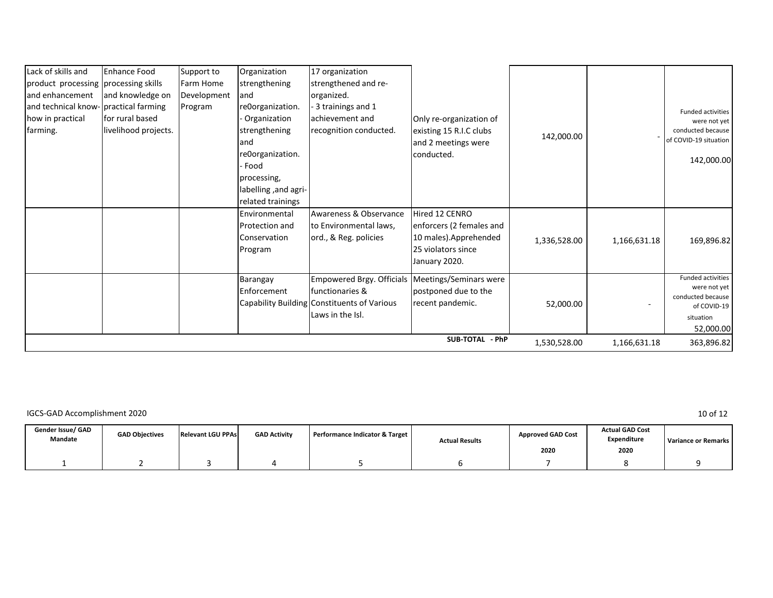| Lack of skills and                    | <b>Enhance Food</b>  | Support to       | Organization         | 17 organization                                  |                          |              |              |                                  |
|---------------------------------------|----------------------|------------------|----------------------|--------------------------------------------------|--------------------------|--------------|--------------|----------------------------------|
| product processing processing skills  |                      | <b>Farm Home</b> | strengthening        | strengthened and re-                             |                          |              |              |                                  |
| and enhancement                       | and knowledge on     | Development      | land                 | organized.                                       |                          |              |              |                                  |
| and technical know- practical farming |                      | Program          | re0organization.     | 3 trainings and 1                                |                          |              |              | <b>Funded activities</b>         |
| how in practical                      | for rural based      |                  | Organization         | achievement and                                  | Only re-organization of  |              |              | were not yet                     |
| farming.                              | livelihood projects. |                  | strengthening        | recognition conducted.                           | existing 15 R.I.C clubs  |              |              | conducted because                |
|                                       |                      |                  | land                 |                                                  | and 2 meetings were      | 142,000.00   |              | of COVID-19 situation            |
|                                       |                      |                  | re0organization.     |                                                  | conducted.               |              |              |                                  |
|                                       |                      |                  | - Food               |                                                  |                          |              |              | 142,000.00                       |
|                                       |                      |                  | processing,          |                                                  |                          |              |              |                                  |
|                                       |                      |                  | labelling, and agri- |                                                  |                          |              |              |                                  |
|                                       |                      |                  | related trainings    |                                                  |                          |              |              |                                  |
|                                       |                      |                  | Environmental        | Awareness & Observance                           | Hired 12 CENRO           |              |              |                                  |
|                                       |                      |                  | Protection and       | to Environmental laws,                           | enforcers (2 females and |              |              |                                  |
|                                       |                      |                  | Conservation         | ord., & Reg. policies                            | 10 males).Apprehended    | 1,336,528.00 | 1,166,631.18 | 169,896.82                       |
|                                       |                      |                  | Program              |                                                  | 25 violators since       |              |              |                                  |
|                                       |                      |                  |                      |                                                  | January 2020.            |              |              |                                  |
|                                       |                      |                  | Barangay             | Empowered Brgy. Officials Meetings/Seminars were |                          |              |              | Funded activities                |
|                                       |                      |                  | Enforcement          | <b>Ifunctionaries &amp;</b>                      | postponed due to the     |              |              | were not yet                     |
|                                       |                      |                  |                      | Capability Building Constituents of Various      | recent pandemic.         | 52,000.00    |              | conducted because<br>of COVID-19 |
|                                       |                      |                  |                      | Laws in the Isl.                                 |                          |              |              | situation                        |
|                                       |                      |                  |                      |                                                  |                          |              |              | 52,000.00                        |
|                                       |                      |                  |                      |                                                  | SUB-TOTAL - PhP          | 1,530,528.00 | 1,166,631.18 | 363,896.82                       |

| Gender Issue/ GAD<br>Mandate | <b>GAD Objectives</b> | <b>Relevant LGU PPAs</b> | <b>GAD Activity</b> | Performance Indicator & Target | <b>Actual Results</b> | <b>Approved GAD Cost</b><br>2020 | <b>Actual GAD Cost</b><br>Expenditure<br>2020 | <b>Variance or Remarks</b> |
|------------------------------|-----------------------|--------------------------|---------------------|--------------------------------|-----------------------|----------------------------------|-----------------------------------------------|----------------------------|
|                              |                       |                          |                     |                                |                       |                                  |                                               |                            |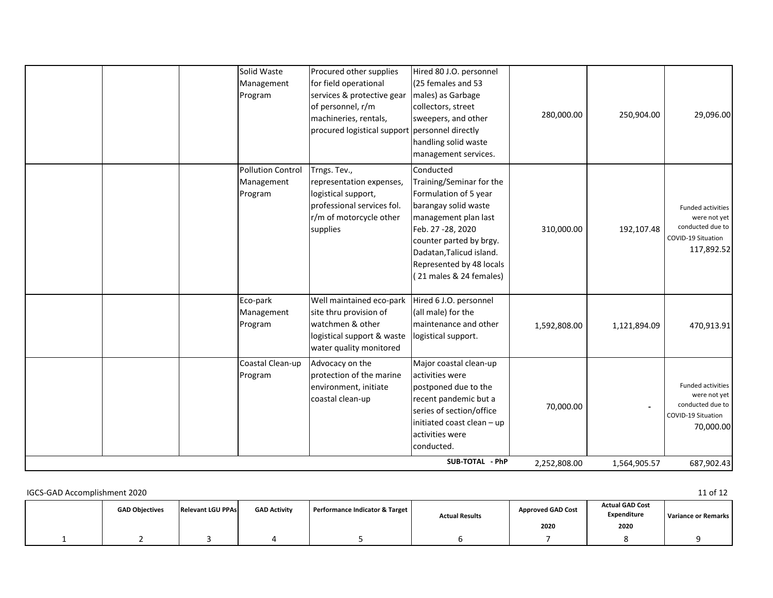|  | Solid Waste<br>Management<br>Program              | Procured other supplies<br>for field operational<br>services & protective gear<br>of personnel, r/m<br>machineries, rentals,<br>procured logistical support personnel directly | Hired 80 J.O. personnel<br>(25 females and 53<br>males) as Garbage<br>collectors, street<br>sweepers, and other<br>handling solid waste<br>management services.                                                                                    | 280,000.00   | 250,904.00   | 29,096.00                                                                                 |
|--|---------------------------------------------------|--------------------------------------------------------------------------------------------------------------------------------------------------------------------------------|----------------------------------------------------------------------------------------------------------------------------------------------------------------------------------------------------------------------------------------------------|--------------|--------------|-------------------------------------------------------------------------------------------|
|  | <b>Pollution Control</b><br>Management<br>Program | Trngs. Tev.,<br>representation expenses,<br>logistical support,<br>professional services fol.<br>r/m of motorcycle other<br>supplies                                           | Conducted<br>Training/Seminar for the<br>Formulation of 5 year<br>barangay solid waste<br>management plan last<br>Feb. 27 - 28, 2020<br>counter parted by brgy.<br>Dadatan, Talicud island.<br>Represented by 48 locals<br>(21 males & 24 females) | 310,000.00   | 192,107.48   | Funded activities<br>were not yet<br>conducted due to<br>COVID-19 Situation<br>117,892.52 |
|  | Eco-park<br>Management<br>Program                 | Well maintained eco-park<br>site thru provision of<br>watchmen & other<br>logistical support & waste<br>water quality monitored                                                | Hired 6 J.O. personnel<br>(all male) for the<br>maintenance and other<br>logistical support.                                                                                                                                                       | 1,592,808.00 | 1,121,894.09 | 470,913.91                                                                                |
|  | Coastal Clean-up<br>Program                       | Advocacy on the<br>protection of the marine<br>environment, initiate<br>coastal clean-up                                                                                       | Major coastal clean-up<br>activities were<br>postponed due to the<br>recent pandemic but a<br>series of section/office<br>initiated coast clean - up<br>activities were<br>conducted.                                                              | 70,000.00    |              | Funded activities<br>were not yet<br>conducted due to<br>COVID-19 Situation<br>70,000.00  |
|  |                                                   |                                                                                                                                                                                | SUB-TOTAL - PhP                                                                                                                                                                                                                                    | 2,252,808.00 | 1,564,905.57 | 687,902.43                                                                                |

| IGCS-GAD Accomplishment 2020 |                       |                          |                     |                                |                       |                                  |                                               | 11 of 12            |
|------------------------------|-----------------------|--------------------------|---------------------|--------------------------------|-----------------------|----------------------------------|-----------------------------------------------|---------------------|
|                              | <b>GAD Objectives</b> | <b>Relevant LGU PPAs</b> | <b>GAD Activity</b> | Performance Indicator & Target | <b>Actual Results</b> | <b>Approved GAD Cost</b><br>2020 | <b>Actual GAD Cost</b><br>Expenditure<br>2020 | Variance or Remarks |
|                              |                       |                          |                     |                                |                       |                                  |                                               |                     |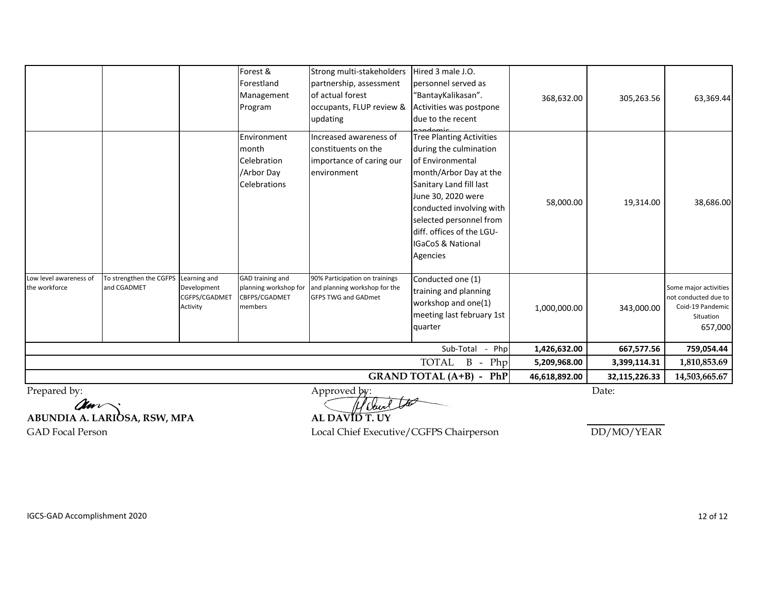|             |                                          | Management                                                        |                                                                                          | "BantayKalikasan".                                                                                                                                                                                                                                                                       | 368,632.00                                                                | 305,263.56    | 63,369.44                                                                                 |
|-------------|------------------------------------------|-------------------------------------------------------------------|------------------------------------------------------------------------------------------|------------------------------------------------------------------------------------------------------------------------------------------------------------------------------------------------------------------------------------------------------------------------------------------|---------------------------------------------------------------------------|---------------|-------------------------------------------------------------------------------------------|
|             |                                          |                                                                   | updating                                                                                 | due to the recent<br>ndomic                                                                                                                                                                                                                                                              |                                                                           |               |                                                                                           |
|             |                                          | Environment<br>month<br>Celebration<br>/Arbor Day<br>Celebrations | Increased awareness of<br>constituents on the<br>importance of caring our<br>environment | <b>Tree Planting Activities</b><br>during the culmination<br>of Environmental<br>month/Arbor Day at the<br>Sanitary Land fill last<br>June 30, 2020 were<br>conducted involving with<br>selected personnel from<br>diff. offices of the LGU-<br><b>IGaCoS &amp; National</b><br>Agencies | 58,000.00                                                                 | 19,314.00     | 38,686.00                                                                                 |
| and CGADMET | Development<br>CGFPS/CGADMET<br>Activity | planning workshop for<br>CBFPS/CGADMET<br>members                 | and planning workshop for the<br><b>GFPS TWG and GADmet</b>                              | Conducted one (1)<br>training and planning<br>workshop and one(1)<br>meeting last february 1st<br>quarter                                                                                                                                                                                | 1,000,000.00                                                              | 343,000.00    | Some major activities<br>not conducted due to<br>Coid-19 Pandemic<br>Situation<br>657,000 |
|             |                                          |                                                                   |                                                                                          | Sub-Total<br>Php<br>$\sim$                                                                                                                                                                                                                                                               | 1,426,632.00                                                              | 667,577.56    | 759,054.44                                                                                |
|             |                                          |                                                                   |                                                                                          | TOTAL<br>$-$ Php                                                                                                                                                                                                                                                                         | 5,209,968.00                                                              | 3,399,114.31  | 1,810,853.69                                                                              |
|             |                                          |                                                                   |                                                                                          |                                                                                                                                                                                                                                                                                          | 46,618,892.00                                                             | 32,115,226.33 | 14,503,665.67                                                                             |
|             | To strengthen the CGFPS                  | Learning and                                                      | Program<br>GAD training and                                                              | of actual forest<br>occupants, FLUP review &<br>90% Participation on trainings                                                                                                                                                                                                           | Activities was postpone<br>$\mathbf{B}$<br><b>GRAND TOTAL (A+B) - PhP</b> |               |                                                                                           |

**ABUNDIA A. LARIOSA, RSW, MPA AL DAVID T. UY**

GAD Focal Person **COVID-19 Executive/CGFPS** Chairperson **DD/MO/YEAR**